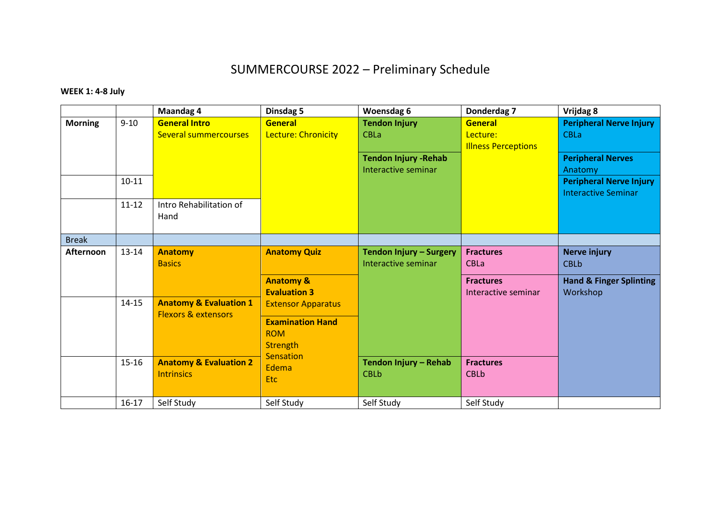## SUMMERCOURSE 2022 – Preliminary Schedule

## **WEEK 1: 4-8 July**

|                |                                                                                                                                                                                                         | <b>Maandag 4</b>                                     | Dinsdag 5                                                | Woensdag 6                                            | Donderdag 7                                       | Vrijdag 8                                                    |
|----------------|---------------------------------------------------------------------------------------------------------------------------------------------------------------------------------------------------------|------------------------------------------------------|----------------------------------------------------------|-------------------------------------------------------|---------------------------------------------------|--------------------------------------------------------------|
| <b>Morning</b> | $9 - 10$                                                                                                                                                                                                | <b>General Intro</b><br><b>Several summercourses</b> | <b>General</b><br>Lecture: Chronicity                    | <b>Tendon Injury</b><br><b>CBLa</b>                   | General<br>Lecture:<br><b>Illness Perceptions</b> | <b>Peripheral Nerve Injury</b><br><b>CBLa</b>                |
|                |                                                                                                                                                                                                         |                                                      |                                                          | <b>Tendon Injury - Rehab</b><br>Interactive seminar   |                                                   | <b>Peripheral Nerves</b><br>Anatomy                          |
|                | $10 - 11$                                                                                                                                                                                               |                                                      |                                                          |                                                       |                                                   | <b>Peripheral Nerve Injury</b><br><b>Interactive Seminar</b> |
|                | $11 - 12$<br>Hand                                                                                                                                                                                       | Intro Rehabilitation of                              |                                                          |                                                       |                                                   |                                                              |
| <b>Break</b>   |                                                                                                                                                                                                         |                                                      |                                                          |                                                       |                                                   |                                                              |
| Afternoon      | $13 - 14$<br><b>Anatomy</b><br><b>Basics</b><br>$14 - 15$<br><b>Anatomy &amp; Evaluation 1</b><br><b>Flexors &amp; extensors</b><br><b>Anatomy &amp; Evaluation 2</b><br>$15 - 16$<br><b>Intrinsics</b> |                                                      | <b>Anatomy Quiz</b>                                      | <b>Tendon Injury - Surgery</b><br>Interactive seminar | <b>Fractures</b><br><b>CBLa</b>                   | <b>Nerve injury</b><br><b>CBLb</b>                           |
|                |                                                                                                                                                                                                         |                                                      | <b>Anatomy &amp;</b><br><b>Evaluation 3</b>              |                                                       | <b>Fractures</b><br>Interactive seminar           | <b>Hand &amp; Finger Splinting</b><br>Workshop               |
|                |                                                                                                                                                                                                         |                                                      | <b>Extensor Apparatus</b>                                |                                                       |                                                   |                                                              |
|                |                                                                                                                                                                                                         |                                                      | <b>Examination Hand</b><br><b>ROM</b><br><b>Strength</b> |                                                       |                                                   |                                                              |
|                |                                                                                                                                                                                                         | Sensation<br>Edema<br><b>Etc</b>                     | Tendon Injury - Rehab<br><b>CBLb</b>                     | <b>Fractures</b><br><b>CBLb</b>                       |                                                   |                                                              |
|                | $16 - 17$                                                                                                                                                                                               | Self Study                                           | Self Study                                               | Self Study                                            | Self Study                                        |                                                              |